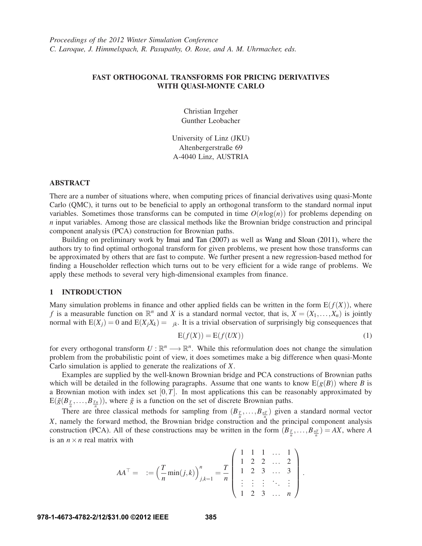# **FAST ORTHOGONAL TRANSFORMS FOR PRICING DERIVATIVES WITH QUASI-MONTE CARLO**

Christian Irrgeher Gunther Leobacher

University of Linz (JKU) Altenbergerstraße 69 A-4040 Linz, AUSTRIA

#### **ABSTRACT**

There are a number of situations where, when computing prices of financial derivatives using quasi-Monte Carlo (QMC), it turns out to be beneficial to apply an orthogonal transform to the standard normal input variables. Sometimes those transforms can be computed in time  $O(n \log(n))$  for problems depending on *n* input variables. Among those are classical methods like the Brownian bridge construction and principal component analysis (PCA) construction for Brownian paths.

Building on preliminary work by Imai and Tan (2007) as well as Wang and Sloan (2011), where the authors try to find optimal orthogonal transform for given problems, we present how those transforms can be approximated by others that are fast to compute. We further present a new regression-based method for finding a Householder reflection which turns out to be very efficient for a wide range of problems. We apply these methods to several very high-dimensional examples from finance.

# **1 INTRODUCTION**

Many simulation problems in finance and other applied fields can be written in the form  $E(f(X))$ , where *f* is a measurable function on  $\mathbb{R}^n$  and *X* is a standard normal vector, that is,  $X = (X_1, \ldots, X_n)$  is jointly normal with  $E(X_i) = 0$  and  $E(X_i X_k) = \delta_{ik}$ . It is a trivial observation of surprisingly big consequences that

$$
E(f(X)) = E(f(UX))
$$
\n(1)

for every orthogonal transform  $U : \mathbb{R}^n \longrightarrow \mathbb{R}^n$ . While this reformulation does not change the simulation problem from the probabilistic point of view, it does sometimes make a big difference when quasi-Monte Carlo simulation is applied to generate the realizations of *X*.

Examples are supplied by the well-known Brownian bridge and PCA constructions of Brownian paths which will be detailed in the following paragraphs. Assume that one wants to know  $E(g(B))$  where *B* is a Brownian motion with index set  $[0, T]$ . In most applications this can be reasonably approximated by  $E(\tilde{g}(B_{\mathcal{I}},...,B_{\mathcal{I}^n}))$ , where  $\tilde{g}$  is a function on the set of discrete Brownian paths.

There are three classical methods for sampling from  $(B_{\frac{r}{n}},...,B_{\frac{nT}{n}})$  given a standard normal vector *X*, namely the forward method, the Brownian bridge construction and the principal component analysis construction (PCA). All of these constructions may be written in the form  $(B_{\frac{r}{n}},...,B_{\frac{nT}{n}}) = AX$ , where *A* is an  $n \times n$  real matrix with

$$
AA^{\top} = \Sigma := \left(\frac{T}{n} \min(j,k)\right)_{j,k=1}^{n} = \frac{T}{n} \begin{pmatrix} 1 & 1 & 1 & \dots & 1 \\ 1 & 2 & 2 & \dots & 2 \\ 1 & 2 & 3 & \dots & 3 \\ \vdots & \vdots & \vdots & \ddots & \vdots \\ 1 & 2 & 3 & \dots & n \end{pmatrix}.
$$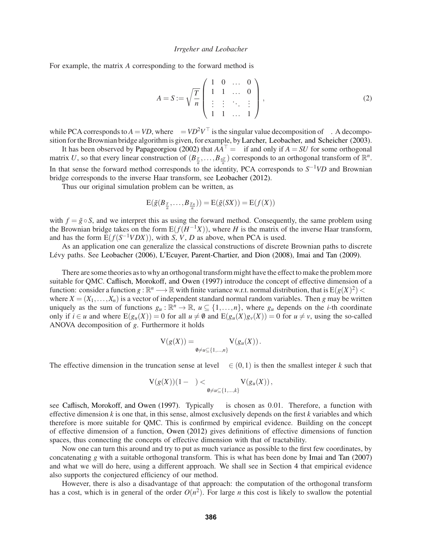For example, the matrix *A* corresponding to the forward method is

$$
A = S := \sqrt{\frac{T}{n}} \begin{pmatrix} 1 & 0 & \dots & 0 \\ 1 & 1 & \dots & 0 \\ \vdots & \vdots & \ddots & \vdots \\ 1 & 1 & \dots & 1 \end{pmatrix},
$$
 (2)

while PCA corresponds to  $A = VD$ , where  $\Sigma = VD^2V^\top$  is the singular value decomposition of  $\Sigma$ . A decomposition for the Brownian bridge algorithm is given, for example, byLarcher, Leobacher, and Scheicher (2003).

It has been observed by Papageorgiou (2002) that  $AA^{\top} = \Sigma$  if and only if  $A = SU$  for some orthogonal matrix U, so that every linear construction of  $(B_1, \ldots, B_n)$  corresponds to an orthogonal transform of  $\mathbb{R}^n$ . In that sense the forward method corresponds to the identity, PCA corresponds to  $S^{-1}VD$  and Brownian bridge corresponds to the inverse Haar transform, see Leobacher (2012).

Thus our original simulation problem can be written, as

$$
E(\tilde{g}(B_{\frac{T}{n}},\ldots,B_{\frac{Tn}{n}}))=E(\tilde{g}(SX))=E(f(X))
$$

with  $f = \tilde{g} \circ S$ , and we interpret this as using the forward method. Consequently, the same problem using the Brownian bridge takes on the form  $E(f(H^{-1}X))$ , where *H* is the matrix of the inverse Haar transform, and has the form  $E(f(S^{-1}VDX))$ , with *S*, *V*, *D* as above, when PCA is used.

As an application one can generalize the classical constructions of discrete Brownian paths to discrete Lévy paths. See Leobacher (2006), L'Ecuyer, Parent-Chartier, and Dion (2008), Imai and Tan (2009).

There are some theories as to why an orthogonal transform might have the effect to make the problem more suitable for QMC. Caflisch, Morokoff, and Owen (1997) introduce the concept of effective dimension of a function: consider a function  $g : \mathbb{R}^n \longrightarrow \mathbb{R}$  with finite variance w.r.t. normal distribution, that is  $E(g(X)^2) < \infty$ where  $X = (X_1, \ldots, X_n)$  is a vector of independent standard normal random variables. Then *g* may be written uniquely as the sum of functions  $g_u : \mathbb{R}^n \to \mathbb{R}$ ,  $u \subseteq \{1, \ldots, n\}$ , where  $g_u$  depends on the *i*-th coordinate only if *i* ∈ *u* and where  $E(g_u(X)) = 0$  for all  $u \neq \emptyset$  and  $E(g_u(X)g_v(X)) = 0$  for  $u \neq v$ , using the so-called ANOVA decomposition of *g*. Furthermore it holds

$$
V(g(X)) = \sum_{\emptyset \neq u \subseteq \{1,\dots,n\}} V(g_u(X)).
$$

The effective dimension in the truncation sense at level  $\alpha \in (0,1)$  is then the smallest integer k such that

$$
\mathrm{V}(g(X))(1-\alpha)<\sum_{\emptyset\neq u\subseteq\{1,\ldots,k\}}\mathrm{V}(g_u(X)),
$$

see Caflisch, Morokoff, and Owen (1997). Typically  $\alpha$  is chosen as 0.01. Therefore, a function with effective dimension *k* is one that, in this sense, almost exclusively depends on the first *k* variables and which therefore is more suitable for QMC. This is confirmed by empirical evidence. Building on the concept of effective dimension of a function, Owen (2012) gives definitions of effective dimensions of function spaces, thus connecting the concepts of effective dimension with that of tractability.

Now one can turn this around and try to put as much variance as possible to the first few coordinates, by concatenating *g* with a suitable orthogonal transform. This is what has been done by Imai and Tan (2007) and what we will do here, using a different approach. We shall see in Section 4 that empirical evidence also supports the conjectured efficiency of our method.

However, there is also a disadvantage of that approach: the computation of the orthogonal transform has a cost, which is in general of the order  $O(n^2)$ . For large *n* this cost is likely to swallow the potential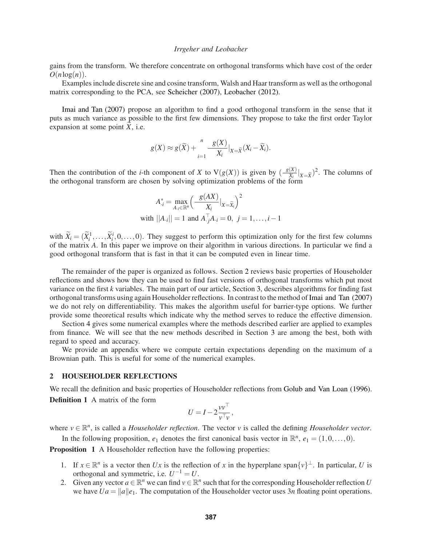gains from the transform. We therefore concentrate on orthogonal transforms which have cost of the order  $O(n \log(n)).$ 

Examples include discrete sine and cosine transform, Walsh and Haar transform as well as the orthogonal matrix corresponding to the PCA, see Scheicher (2007), Leobacher (2012).

Imai and Tan (2007) propose an algorithm to find a good orthogonal transform in the sense that it puts as much variance as possible to the first few dimensions. They propose to take the first order Taylor expansion at some point  $\overline{X}$ , i.e.

$$
g(X) \approx g(\widetilde{X}) + \sum_{i=1}^{n} \frac{\partial g(X)}{\partial X_i} \big|_{X = \widetilde{X}} (X_i - \widetilde{X}_i).
$$

Then the contribution of the *i*-th component of *X* to  $V(g(X))$  is given by  $\left(\frac{\partial g(X)}{\partial Y}\right)$  $\frac{g(X)}{\partial X_i}\big|_{X=\widetilde{X}}$ <sup>2</sup>. The columns of the orthogonal transform are chosen by solving optimization problems of the form

$$
A_{\cdot i}^{*} = \max_{A_{\cdot i} \in \mathbb{R}^{n}} \left( \frac{\partial g(AX)}{\partial X_{i}} |_{X = \widetilde{X}_{i}} \right)^{2}
$$
  
with  $||A_{\cdot i}|| = 1$  and  $A_{\cdot j}^{\top} A_{\cdot i} = 0, \ j = 1, \dots, i - 1$ 

with  $\widetilde{X}_i = (\widetilde{X}_i^1, \ldots, \widetilde{X}_i^i, 0, \ldots, 0)$ . They suggest to perform this optimization only for the first few columns of the matrix *A*. In this paper we improve on their algorithm in various directions. In particular we find a good orthogonal transform that is fast in that it can be computed even in linear time.

The remainder of the paper is organized as follows. Section 2 reviews basic properties of Householder reflections and shows how they can be used to find fast versions of orthogonal transforms which put most variance on the first *k* variables. The main part of our article, Section 3, describes algorithms for finding fast orthogonal transforms using again Householder reflections. In contrast to the method of Imai and Tan (2007) we do not rely on differentiability. This makes the algorithm useful for barrier-type options. We further provide some theoretical results which indicate why the method serves to reduce the effective dimension.

Section 4 gives some numerical examples where the methods described earlier are applied to examples from finance. We will see that the new methods described in Section 3 are among the best, both with regard to speed and accuracy.

We provide an appendix where we compute certain expectations depending on the maximum of a Brownian path. This is useful for some of the numerical examples.

#### **2 HOUSEHOLDER REFLECTIONS**

We recall the definition and basic properties of Householder reflections from Golub and Van Loan (1996). **Definition 1** A matrix of the form

$$
U = I - 2 \frac{v v^{\top}}{v^{\top} v},
$$

where  $v \in \mathbb{R}^n$ , is called a *Householder reflection*. The vector *v* is called the defining *Householder vector*.

In the following proposition,  $e_1$  denotes the first canonical basis vector in  $\mathbb{R}^n$ ,  $e_1 = (1,0,\ldots,0)$ .

**Proposition 1** A Householder reflection have the following properties:

- 1. If  $x \in \mathbb{R}^n$  is a vector then *Ux* is the reflection of *x* in the hyperplane span $\{v\}^{\perp}$ . In particular, *U* is orthogonal and symmetric, i.e.  $U^{-1} = U$ .
- 2. Given any vector  $a \in \mathbb{R}^n$  we can find  $v \in \mathbb{R}^n$  such that for the corresponding Householder reflection *U* we have  $Ua = ||a||e_1$ . The computation of the Householder vector uses 3*n* floating point operations.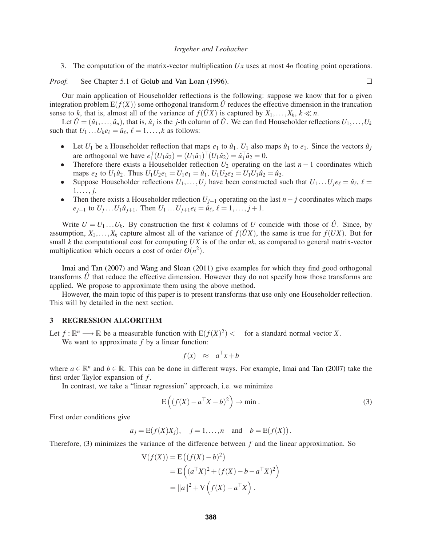3. The computation of the matrix-vector multiplication *Ux* uses at most 4*n* floating point operations.

*Proof.* See Chapter 5.1 of Golub and Van Loan (1996).

Our main application of Householder reflections is the following: suppose we know that for a given integration problem  $E(f(X))$  some orthogonal transform  $\hat{U}$  reduces the effective dimension in the truncation sense to *k*, that is, almost all of the variance of  $f(\hat{U}X)$  is captured by  $X_1, \ldots, X_k, k \ll n$ .

Let  $\hat{U} = (\hat{u}_1, \dots, \hat{u}_n)$ , that is,  $\hat{u}_j$  is the *j*-th column of  $\hat{U}$ . We can find Householder reflections  $U_1, \dots, U_k$ such that  $U_1 \dots U_k e_\ell = \hat{u}_\ell, \ell = 1, \dots, k$  as follows:

- Let  $U_1$  be a Householder reflection that maps  $e_1$  to  $\hat{u}_1$ .  $U_1$  also maps  $\hat{u}_1$  to  $e_1$ . Since the vectors  $\hat{u}_j$ are orthogonal we have  $e_1^+(U_1\hat{u}_2) = (U_1\hat{u}_1)^+(U_1\hat{u}_2) = \hat{u}_1^+\hat{u}_2 = 0.$
- Therefore there exists a Householder reflection *U*<sup>2</sup> operating on the last *n*−1 coordinates which maps  $e_2$  to  $U_1 \hat{u}_2$ . Thus  $U_1 U_2 e_1 = U_1 e_1 = \hat{u}_1$ ,  $U_1 U_2 e_2 = U_1 U_1 \hat{u}_2 = \hat{u}_2$ .
- Suppose Householder reflections  $U_1, \ldots, U_j$  have been constructed such that  $U_1 \ldots U_j e_\ell = \hat{u}_\ell, \ell =$ 1,..., *j*.
- Then there exists a Householder reflection  $U_{j+1}$  operating on the last  $n-j$  coordinates which maps  $e_{j+1}$  to  $U_j...U_1\hat{u}_{j+1}$ . Then  $U_1...U_{j+1}e_{\ell} = \hat{u}_{\ell}, \ell = 1,...,j+1$ .

Write  $U = U_1 \dots U_k$ . By construction the first k columns of U coincide with those of  $\hat{U}$ . Since, by assumption,  $X_1, \ldots, X_k$  capture almost all of the variance of  $f(\hat{U}X)$ , the same is true for  $f(UX)$ . But for small *k* the computational cost for computing *UX* is of the order *nk*, as compared to general matrix-vector multiplication which occurs a cost of order  $O(n^2)$ .

Imai and Tan (2007) and Wang and Sloan (2011) give examples for which they find good orthogonal transforms  $\hat{U}$  that reduce the effective dimension. However they do not specify how those transforms are applied. We propose to approximate them using the above method.

However, the main topic of this paper is to present transforms that use only one Householder reflection. This will by detailed in the next section.

## **3 REGRESSION ALGORITHM**

Let  $f: \mathbb{R}^n \longrightarrow \mathbb{R}$  be a measurable function with  $E(f(X)^2) < \infty$  for a standard normal vector *X*.

We want to approximate *f* by a linear function:

$$
f(x) \approx a^{\dagger}x + b
$$

where  $a \in \mathbb{R}^n$  and  $b \in \mathbb{R}$ . This can be done in different ways. For example, Imai and Tan (2007) take the first order Taylor expansion of *f* .

In contrast, we take a "linear regression" approach, i.e. we minimize

$$
E\left((f(X) - a^{\top}X - b)^2\right) \to \min.
$$
 (3)

First order conditions give

$$
a_j = E(f(X)X_j), \quad j = 1,...,n \text{ and } b = E(f(X)).
$$

Therefore, (3) minimizes the variance of the difference between *f* and the linear approximation. So

$$
V(f(X)) = E((f(X) - b)^2)
$$
  
= E((a<sup>T</sup>X)<sup>2</sup> + (f(X) - b - a<sup>T</sup>X)<sup>2</sup>)  
= ||a||<sup>2</sup> + V(f(X) - a<sup>T</sup>X).

 $\Box$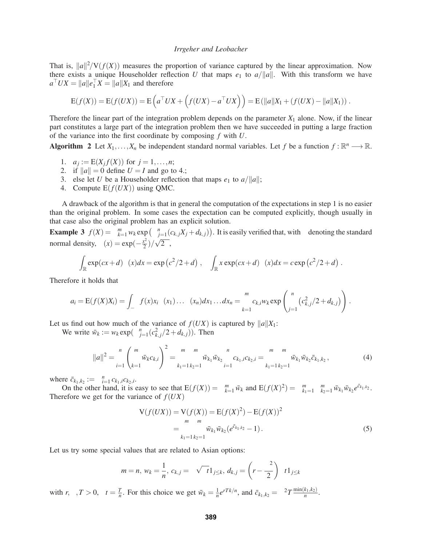That is,  $||a||^2/V(f(X))$  measures the proportion of variance captured by the linear approximation. Now there exists a unique Householder reflection *U* that maps  $e_1$  to  $a/||a||$ . With this transform we have  $a^{\dagger} UX = ||a||e_1^{\dagger} X = ||a||X_1$  and therefore

$$
E(f(X)) = E(f(UX)) = E\left(a^{\top}UX + \left(f(UX) - a^{\top}UX\right)\right) = E(||a||X_1 + (f(UX) - ||a||X_1))
$$

Therefore the linear part of the integration problem depends on the parameter  $X_1$  alone. Now, if the linear part constitutes a large part of the integration problem then we have succeeded in putting a large fraction of the variance into the first coordinate by composing *f* with *U*.

**Algorithm 2** Let  $X_1, \ldots, X_n$  be independent standard normal variables. Let *f* be a function  $f : \mathbb{R}^n \longrightarrow \mathbb{R}$ .

- 1.  $a_j := E(X_j f(X))$  for  $j = 1, ..., n;$
- 2. if  $\|a\| = 0$  define  $U = I$  and go to 4.;
- 3. else let *U* be a Householder reflection that maps  $e_1$  to  $a/||a||$ ;
- 4. Compute  $E(f(UX))$  using QMC.

A drawback of the algorithm is that in general the computation of the expectations in step 1 is no easier than the original problem. In some cases the expectation can be computed explicitly, though usually in that case also the original problem has an explicit solution.

**Example 3**  $f(X) = \sum_{k=1}^{m} w_k \exp(\sum_{j=1}^{n} (c_{k,j}X_j + d_{k,j}))$ . It is easily verified that, with  $\phi$  denoting the standard normal density,  $\phi(x) = \exp(-\frac{x^2}{2})$  $(\frac{x^2}{2})/\sqrt{2\pi}$ ,

$$
\int_{\mathbb{R}} \exp(cx+d)\phi(x)dx = \exp(c^2/2+d), \quad \int_{\mathbb{R}} x \exp(cx+d)\phi(x)dx = c\exp(c^2/2+d).
$$

Therefore it holds that

$$
a_i = E(f(X)X_i) = \int_{-\infty}^{\infty} f(x)x_i \phi(x_1) \dots \phi(x_n) dx_1 \dots dx_n = \sum_{k=1}^{m} c_{k,i} w_k \exp \left( \sum_{j=1}^{n} (c_{k,j}^2/2 + d_{k,j}) \right).
$$

Let us find out how much of the variance of  $f(UX)$  is captured by  $||a||X_1$ :

We write  $\bar{w}_k := w_k \exp(\sum_{j=1}^n (c_{k,j}^2/2 + d_{k,j}))$ . Then

$$
||a||^2 = \sum_{i=1}^n \left( \sum_{k=1}^m \bar{w}_k c_{k,i} \right)^2 = \sum_{k_1=1}^m \sum_{k_2=1}^m \bar{w}_{k_1} \bar{w}_{k_2} \sum_{i=1}^n c_{k_1,i} c_{k_2,i} = \sum_{k_1=1}^m \sum_{k_2=1}^m \bar{w}_{k_1} \bar{w}_{k_2} \bar{c}_{k_1,k_2},
$$
(4)

where  $\bar{c}_{k_1,k_2} := \sum_{i=1}^n c_{k_1,i} c_{k_2,i}$ .

On the other hand, it is easy to see that  $E(f(X)) = \sum_{k=1}^{m} \overline{w}_k$  and  $E(f(X)^2) = \sum_{k=1}^{m} \sum_{k=1}^{m} \overline{w}_{k_1} \overline{w}_{k_2} e^{\overline{c}_{k_1,k_2}}$ . Therefore we get for the variance of  $f(UX)$ 

$$
V(f(UX)) = V(f(X)) = E(f(X)^{2}) - E(f(X))^{2}
$$
  
= 
$$
\sum_{k_{1}=1}^{m} \sum_{k_{2}=1}^{m} \bar{w}_{k_{1}} \bar{w}_{k_{2}} (e^{\bar{c}_{k_{1},k_{2}}}-1).
$$
 (5)

Let us try some special values that are related to Asian options:

$$
m = n, w_k = \frac{1}{n}, c_{k,j} = \sigma \sqrt{\Delta t} 1_{j \leq k}, d_{k,j} = \left(r - \frac{\sigma^2}{2}\right) \Delta t 1_{j \leq k}
$$

with  $r, \sigma, T > 0$ ,  $\Delta t = \frac{T}{n}$  $\frac{T}{n}$ . For this choice we get  $\bar{w}_k = \frac{1}{n}$  $\frac{1}{n}e^{rTk/n}$ , and  $\bar{c}_{k_1,k_2} = \sigma^2 T \frac{\min(k_1,k_2)}{n}$  $\frac{\kappa_1,\kappa_2)}{n}$ .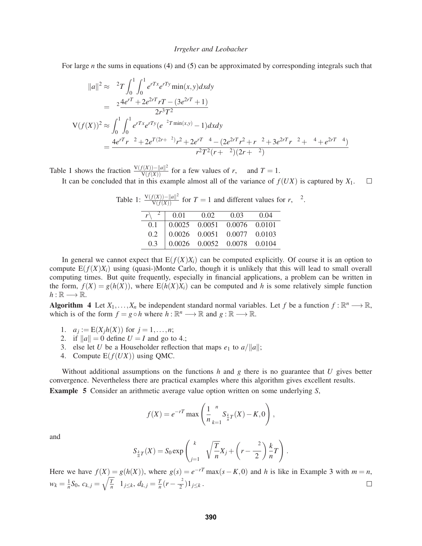For large *n* the sums in equations (4) and (5) can be approximated by corresponding integrals such that

$$
||a||^2 \approx \sigma^2 T \int_0^1 \int_0^1 e^{rTx} e^{rTy} \min(x, y) dx dy
$$
  
=  $\sigma^2 \frac{4e^{rT} + 2e^{2rT} rT - (3e^{2rT} + 1)}{2r^3 T^2}$   

$$
V(f(X))^2 \approx \int_0^1 \int_0^1 e^{rTx} e^{rTy} (e^{\sigma^2 T \min(x, y)} - 1) dx dy
$$
  
=  $\frac{4e^{rT} r \sigma^2 + 2e^{T(2r + \sigma^2)} r^2 + 2e^{rT} \sigma^4 - (2e^{2rT} r^2 + r \sigma^2 + 3e^{2rT} r \sigma^2 + \sigma^4 + e^{2rT} \sigma^4)}{r^2 T^2 (r + \sigma^2)(2r + \sigma^2)}$ 

Table 1 shows the fraction  $\frac{V(f(X)) - ||a||^2}{V(f(X))}$  for a few values of *r*,  $\sigma$  and  $T = 1$ .

It can be concluded that in this example almost all of the variance of  $f(UX)$  is captured by  $X_1$ .  $\Box$ 

| Table 1: $\frac{\mathcal{V}(f(X)) -   a  ^2}{\mathcal{V}(f(X))}$ for $T = 1$ and different values for r, $\sigma^2$ . |  |                                                                                                                                                                                                 |  |  |  |  |  |
|-----------------------------------------------------------------------------------------------------------------------|--|-------------------------------------------------------------------------------------------------------------------------------------------------------------------------------------------------|--|--|--|--|--|
|                                                                                                                       |  | $r \backslash \sigma^2$ 0.01 0.02 0.03 0.04                                                                                                                                                     |  |  |  |  |  |
|                                                                                                                       |  |                                                                                                                                                                                                 |  |  |  |  |  |
|                                                                                                                       |  |                                                                                                                                                                                                 |  |  |  |  |  |
|                                                                                                                       |  | $\begin{tabular}{ c c c c c c c } \hline 0.1 & 0.0025 & 0.0051 & 0.0076 & 0.0101 \\ 0.2 & 0.0026 & 0.0051 & 0.0077 & 0.0103 \\ 0.3 & 0.0026 & 0.0052 & 0.0078 & 0.0104 \\ \hline \end{tabular}$ |  |  |  |  |  |

In general we cannot expect that  $E(f(X)X_i)$  can be computed explicitly. Of course it is an option to compute  $E(f(X)X_i)$  using (quasi-)Monte Carlo, though it is unlikely that this will lead to small overall computing times. But quite frequently, especially in financial applications, a problem can be written in the form,  $f(X) = g(h(X))$ , where  $E(h(X)X_i)$  can be computed and *h* is some relatively simple function  $h:\mathbb{R}\longrightarrow\mathbb{R}.$ 

**Algorithm 4** Let  $X_1, \ldots, X_n$  be independent standard normal variables. Let *f* be a function  $f : \mathbb{R}^n \longrightarrow \mathbb{R}$ , which is of the form  $f = g \circ h$  where  $h : \mathbb{R}^n \longrightarrow \mathbb{R}$  and  $g : \mathbb{R} \longrightarrow \mathbb{R}$ .

- 1.  $a_j := E(X_j h(X))$  for  $j = 1, ..., n;$
- 2. if  $\|a\| = 0$  define  $U = I$  and go to 4.;
- 3. else let *U* be a Householder reflection that maps  $e_1$  to  $a/||a||$ ;
- 4. Compute  $E(f(UX))$  using QMC.

Without additional assumptions on the functions *h* and *g* there is no guarantee that *U* gives better convergence. Nevertheless there are practical examples where this algorithm gives excellent results.

**Example 5** Consider an arithmetic average value option written on some underlying *S*,

$$
f(X) = e^{-rT} \max \left( \frac{1}{n} \sum_{k=1}^{n} S_{\frac{k}{n}T}(X) - K, 0 \right),
$$

and

$$
S_{\frac{k}{n}T}(X) = S_0 \exp\left(\sum_{j=1}^k \sigma \sqrt{\frac{T}{n}} X_j + \left(r - \frac{\sigma^2}{2}\right) \frac{k}{n} T\right).
$$

Here we have  $f(X) = g(h(X))$ , where  $g(s) = e^{-rT} \max(s - K, 0)$  and *h* is like in Example 3 with  $m = n$ ,  $\frac{1}{n}S_0, c_{k,j} = \sqrt{\frac{T}{n}}$  $\frac{T}{n}(r-\frac{\sigma^2}{2})$  $w_k = \frac{1}{n}$  $\frac{T}{n}$ **σ** $1_{j \leq k}$ ,  $d_{k,j} = \frac{T}{n}$  $\Box$  $\frac{\sigma^2}{2})1_{j\leq k}$ .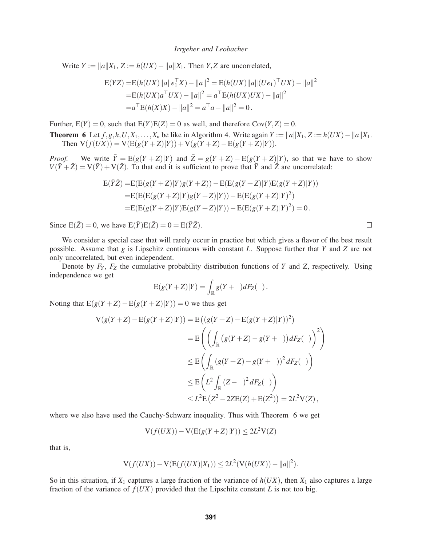Write  $Y := ||a||X_1, Z := h(UX) - ||a||X_1$ . Then *Y*, *Z* are uncorrelated,

$$
E(YZ) = E(h(UX) ||a||e_1^{\top}X) - ||a||^2 = E(h(UX) ||a||(Ue_1)^{\top}UX) - ||a||^2
$$
  
= E(h(UX)a<sup>T</sup>UX) - ||a||<sup>2</sup> = a<sup>T</sup>E(h(UX)UX) - ||a||<sup>2</sup>  
= a<sup>T</sup>E(h(X)X) - ||a||<sup>2</sup> = a<sup>T</sup>a - ||a||<sup>2</sup> = 0.

Further,  $E(Y) = 0$ , such that  $E(Y)E(Z) = 0$  as well, and therefore  $Cov(Y, Z) = 0$ .

**Theorem 6** Let  $f, g, h, U, X_1, \ldots, X_n$  be like in Algorithm 4. Write again  $Y := ||a||X_1, Z := h(UX) - ||a||X_1$ . Then  $V(f(UX)) = V(E(g(Y+Z)|Y)) + V(g(Y+Z) - E(g(Y+Z)|Y)).$ 

*Proof.* We write  $\bar{Y} = E(g(Y+Z)|Y)$  and  $\bar{Z} = g(Y+Z) - E(g(Y+Z)|Y)$ , so that we have to show  $V(\bar{Y} + \bar{Z}) = V(\bar{Y}) + V(\bar{Z})$ . To that end it is sufficient to prove that  $\bar{Y}$  and  $\bar{Z}$  are uncorrelated:

$$
E(\bar{Y}\bar{Z}) = E(E(g(Y+Z)|Y)g(Y+Z)) - E(E(g(Y+Z)|Y)E(g(Y+Z)|Y))
$$
  
= E(E(E(g(Y+Z)|Y)g(Y+Z)|Y)) - E(E(g(Y+Z)|Y)^{2})  
= E(E(g(Y+Z)|Y)E(g(Y+Z)|Y)) - E(E(g(Y+Z)|Y)^{2}) = 0.

Since  $E(\bar{Z}) = 0$ , we have  $E(\bar{Y})E(\bar{Z}) = 0 = E(\bar{Y}\bar{Z})$ .

We consider a special case that will rarely occur in practice but which gives a flavor of the best result possible. Assume that *g* is Lipschitz continuous with constant *L*. Suppose further that *Y* and *Z* are not only uncorrelated, but even independent.

Denote by  $F_Y$ ,  $F_Z$  the cumulative probability distribution functions of *Y* and *Z*, respectively. Using independence we get

$$
E(g(Y+Z)|Y) = \int_{\mathbb{R}} g(Y+\zeta)dF_Z(\zeta).
$$

Noting that  $E(g(Y+Z) - E(g(Y+Z)|Y)) = 0$  we thus get

$$
V(g(Y+Z) - E(g(Y+Z)|Y)) = E((g(Y+Z) - E(g(Y+Z)|Y))^2)
$$
  
= 
$$
E\left(\left(\int_{\mathbb{R}} (g(Y+Z) - g(Y+\zeta))dF_Z(\zeta)\right)^2\right)
$$
  

$$
\leq E\left(\int_{\mathbb{R}} (g(Y+Z) - g(Y+\zeta))^2 dF_Z(\zeta)\right)
$$
  

$$
\leq E\left(L^2 \int_{\mathbb{R}} (Z-\zeta)^2 dF_Z(\zeta)\right)
$$
  

$$
\leq L^2 E\left(Z^2 - 2ZE(Z) + E(Z^2)\right) = 2L^2 V(Z),
$$

where we also have used the Cauchy-Schwarz inequality. Thus with Theorem 6 we get

$$
V(f(UX)) - V(E(g(Y+Z)|Y)) \le 2L^2V(Z)
$$

that is,

$$
V(f(UX)) - V(E(f(UX)|X_1)) \le 2L^2(V(h(UX)) - ||a||^2).
$$

So in this situation, if  $X_1$  captures a large fraction of the variance of  $h(UX)$ , then  $X_1$  also captures a large fraction of the variance of  $f(UX)$  provided that the Lipschitz constant *L* is not too big.

 $\Box$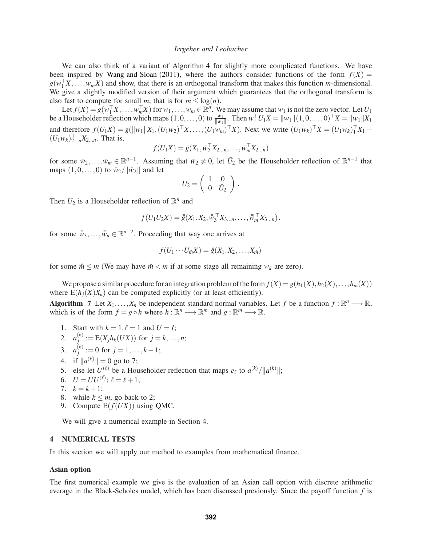We can also think of a variant of Algorithm 4 for slightly more complicated functions. We have been inspired by Wang and Sloan (2011), where the authors consider functions of the form  $f(X)$  =  $g(w_1^{\top}X, \ldots, w_m^{\top}X)$  and show, that there is an orthogonal transform that makes this function *m*-dimensional. We give a slightly modified version of their argument which guarantees that the orthogonal transform is also fast to compute for small *m*, that is for  $m \leq \log(n)$ .

Let  $f(X) = g(w_1^\top X, \dots, w_m^\top X)$  for  $w_1, \dots, w_m \in \mathbb{R}^n$ . We may assume that  $w_1$  is not the zero vector. Let  $U_1$ be a Householder reflection which maps  $(1,0,\ldots,0)$  to  $\frac{w_1}{\|w_1\|}$ . Then  $w_1^\top U_1 X = \|w_1\|(1,0,\ldots,0)^\top X = \|w_1\|X_1$ and therefore  $f(U_1X) = g(||w_1||X_1, (U_1w_2) | X, \dots, (U_1w_m) | X)$ . Next we write  $(U_1w_k) | X = (U_1w_k) | X_1 + (U_1w_k) | X_2 + (U_1w_k) | X_3 + (U_1w_k) | X_4 + (U_1w_k) | X_4 + (U_1w_k) | X_5 + (U_1w_k) | X_6$  $(U_1w_k)_{2...n}^{\dagger}X_{2...n}$ . That is,

$$
f(U_1X) = \bar{g}(X_1, \bar{w}_2^{\top}X_{2...n}, \ldots, \bar{w}_m^{\top}X_{2...n})
$$

for some  $\bar{w}_2, \ldots, \bar{w}_m \in \mathbb{R}^{n-1}$ . Assuming that  $\bar{w}_2 \neq 0$ , let  $\bar{U}_2$  be the Householder reflection of  $\mathbb{R}^{n-1}$  that maps  $(1,0,\ldots,0)$  to  $\bar{w}_2/\|\bar{w}_2\|$  and let

$$
U_2 = \left(\begin{array}{cc} 1 & 0 \\ 0 & \bar{U}_2 \end{array}\right).
$$

Then  $U_2$  is a Householder reflection of  $\mathbb{R}^n$  and

$$
f(U_1U_2X)=\bar{\bar{g}}(X_1,X_2,\bar{\bar{w}}_3^{\top}X_{3...n},\ldots,\bar{\bar{w}}_m^{\top}X_{3...n}).
$$

for some  $\bar{w}_3, \ldots, \bar{w}_n \in \mathbb{R}^{n-2}$ . Proceeding that way one arrives at

$$
f(U_1\cdots U_{\hat{m}}X)=\hat{g}(X_1,X_2,\ldots,X_{\hat{m}})
$$

for some  $\hat{m} \le m$  (We may have  $\hat{m} < m$  if at some stage all remaining  $w_k$  are zero).

We propose a similar procedure for an integration problem of the form  $f(X) = g(h_1(X), h_2(X), \ldots, h_m(X))$ where  $E(h_i(X)X_k)$  can be computed explicitly (or at least efficiently).

**Algorithm 7** Let  $X_1, \ldots, X_n$  be independent standard normal variables. Let *f* be a function  $f : \mathbb{R}^n \longrightarrow \mathbb{R}$ , which is of the form  $f = g \circ h$  where  $h : \mathbb{R}^n \longrightarrow \mathbb{R}^m$  and  $g : \mathbb{R}^m \longrightarrow \mathbb{R}$ .

- 1. Start with  $k = 1, \ell = 1$  and  $U = I$ ;
- 2.  $a_i^{(k)}$  $j^{(k)}$  := E(*X*<sub>*j*</sub>*h*<sub>*k*</sub>(*UX*)) for *j* = *k*,...,*n*;
- 3.  $a_i^{(k)}$  $j_j^{(k)} := 0$  for  $j = 1, ..., k-1;$
- 4. if  $\|a^{(k)}\| = 0$  go to 7;
- 5. else let  $U^{(\ell)}$  be a Householder reflection that maps  $e_{\ell}$  to  $a^{(k)}/\|a^{(k)}\|$ ;
- 6.  $U = U U^{(\ell)}$ ;  $\ell = \ell + 1$ ;
- 7.  $k = k + 1$ ;
- 8. while  $k \leq m$ , go back to 2;
- 9. Compute  $E(f(UX))$  using QMC.

We will give a numerical example in Section 4.

## **4 NUMERICAL TESTS**

In this section we will apply our method to examples from mathematical finance.

## **Asian option**

The first numerical example we give is the evaluation of an Asian call option with discrete arithmetic average in the Black-Scholes model, which has been discussed previously. Since the payoff function *f* is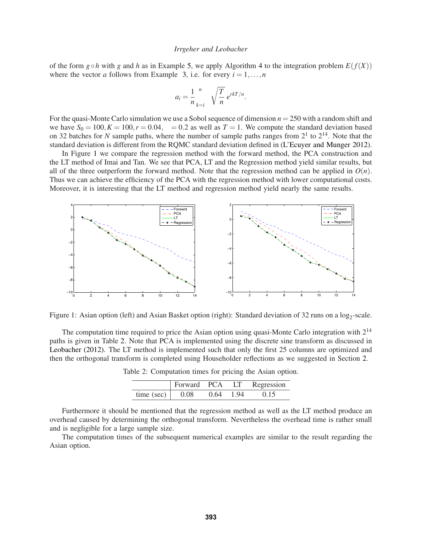of the form  $g \circ h$  with  $g$  and  $h$  as in Example 5, we apply Algorithm 4 to the integration problem  $E(f(X))$ where the vector *a* follows from Example 3, i.e. for every  $i = 1, \ldots, n$ 

$$
a_i = \frac{1}{n} \sum_{k=i}^n \sigma \sqrt{\frac{T}{n}} e^{rkT/n}
$$

.

For the quasi-Monte Carlo simulation we use a Sobol sequence of dimension  $n = 250$  with a random shift and we have  $S_0 = 100, K = 100, r = 0.04, \sigma = 0.2$  as well as  $T = 1$ . We compute the standard deviation based on 32 batches for *N* sample paths, where the number of sample paths ranges from  $2<sup>1</sup>$  to  $2<sup>14</sup>$ . Note that the standard deviation is different from the RQMC standard deviation defined in (L'Ecuyer and Munger 2012).

In Figure 1 we compare the regression method with the forward method, the PCA construction and the LT method of Imai and Tan. We see that PCA, LT and the Regression method yield similar results, but all of the three outperform the forward method. Note that the regression method can be applied in  $O(n)$ . Thus we can achieve the efficiency of the PCA with the regression method with lower computational costs. Moreover, it is interesting that the LT method and regression method yield nearly the same results.



Figure 1: Asian option (left) and Asian Basket option (right): Standard deviation of 32 runs on a log<sub>2</sub>-scale.

The computation time required to price the Asian option using quasi-Monte Carlo integration with  $2^{14}$ paths is given in Table 2. Note that PCA is implemented using the discrete sine transform as discussed in Leobacher (2012). The LT method is implemented such that only the first 25 columns are optimized and then the orthogonal transform is completed using Householder reflections as we suggested in Section 2.

|            | Forward PCA |      | $\Box$ | Regression |
|------------|-------------|------|--------|------------|
| time (sec) | 0.08        | 0.64 | 1.94   | (115)      |

Table 2: Computation times for pricing the Asian option.

Furthermore it should be mentioned that the regression method as well as the LT method produce an overhead caused by determining the orthogonal transform. Nevertheless the overhead time is rather small and is negligible for a large sample size.

The computation times of the subsequent numerical examples are similar to the result regarding the Asian option.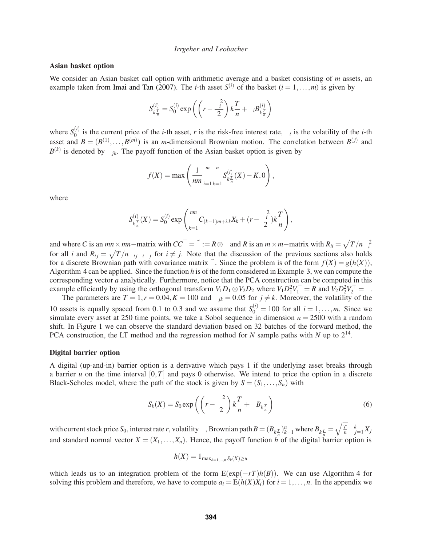## **Asian basket option**

We consider an Asian basket call option with arithmetic average and a basket consisting of *m* assets, an example taken from Imai and Tan (2007). The *i*-th asset  $S^{(i)}$  of the basket  $(i = 1, ..., m)$  is given by

$$
S_{k\frac{T}{n}}^{(i)} = S_0^{(i)} \exp\left(\left(r - \frac{\sigma_i^2}{2}\right)k\frac{T}{n} + \sigma_i B_{k\frac{T}{n}}^{(i)}\right)
$$

where  $S_0^{(i)}$  $\sigma_i^{(t)}$  is the current price of the *i*-th asset, *r* is the risk-free interest rate,  $\sigma_i$  is the volatility of the *i*-th asset and  $B = (B^{(1)}, \ldots, B^{(m)})$  is an *m*-dimensional Brownian motion. The correlation between  $B^{(j)}$  and  $B^{(k)}$  is denoted by  $\rho_{jk}$ . The payoff function of the Asian basket option is given by

$$
f(X) = \max\left(\frac{1}{nm}\sum_{i=1}^{m}\sum_{k=1}^{n} S_{k\frac{T}{n}}^{(i)}(X) - K, 0\right),\,
$$

where

$$
S_{k_{\overline{n}}}^{(i)}(X) = S_0^{(i)} \exp \left( \sum_{k=1}^{nm} C_{(k-1)m+i,k} X_k + (r - \frac{\sigma_i^2}{2}) k \frac{T}{n} \right),
$$

and where *C* is an  $mn \times mn$ —matrix with  $CC^{\top} = \tilde{\Sigma} := R \otimes \Sigma$  and *R* is an  $m \times m$ —matrix with  $R_{ii} = \sqrt{T/n} \sigma_i^2$ for all *i* and  $R_{ij} = \sqrt{T/n} \rho_{ij} \sigma_i \sigma_j$  for  $i \neq j$ . Note that the discussion of the previous sections also holds for a discrete Brownian path with covariance matrix  $\tilde{\Sigma}$ . Since the problem is of the form  $f(X) = g(h(X))$ , Algorithm 4 can be applied. Since the function *h* is of the form considered in Example 3, we can compute the corresponding vector *a* analytically. Furthermore, notice that the PCA construction can be computed in this example efficiently by using the orthogonal transform  $V_1D_1 \otimes V_2D_2$  where  $V_1D_1^2V_1^{\top} = R$  and  $V_2D_2^2V_2^{\top} = \Sigma$ .

The parameters are  $T = 1, r = 0.04, K = 100$  and  $\rho_{jk} = 0.05$  for  $j \neq k$ . Moreover, the volatility of the 10 assets is equally spaced from 0.1 to 0.3 and we assume that  $S_0^{(i)} = 100$  for all  $i = 1, ..., m$ . Since we simulate every asset at 250 time points, we take a Sobol sequence in dimension  $n = 2500$  with a random shift. In Figure 1 we can observe the standard deviation based on 32 batches of the forward method, the PCA construction, the LT method and the regression method for  $N$  sample paths with  $N$  up to  $2^{14}$ .

### **Digital barrier option**

A digital (up-and-in) barrier option is a derivative which pays 1 if the underlying asset breaks through a barrier *u* on the time interval  $[0, T]$  and pays 0 otherwise. We intend to price the option in a discrete Black-Scholes model, where the path of the stock is given by  $S = (S_1, \ldots, S_n)$  with

$$
S_k(X) = S_0 \exp\left(\left(r - \frac{\sigma^2}{2}\right)k\frac{T}{n} + \sigma B_{k\frac{T}{n}}\right)
$$
(6)

with current stock price  $S_0$ , interest rate r, volatility  $\sigma$ , Brownian path  $B=(B_{k\frac{T}{n}})_{k=1}^n$  where  $B_{k\frac{T}{n}}=\sqrt{\frac{T}{n}}\sum_{j=1}^k X_j$ and standard normal vector  $X = (X_1, \ldots, X_n)$ . Hence, the payoff function *h* of the digital barrier option is

$$
h(X)=1_{\max_{k=1,\ldots,n}S_k(X)\geq u}
$$

which leads us to an integration problem of the form  $E(exp(-rT)h(B))$ . We can use Algorithm 4 for solving this problem and therefore, we have to compute  $a_i = E(h(X)X_i)$  for  $i = 1, \ldots, n$ . In the appendix we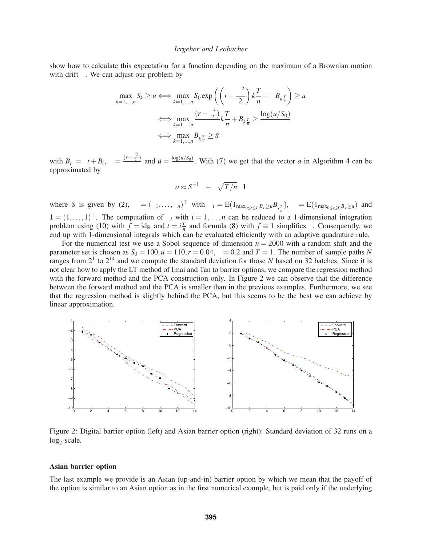show how to calculate this expectation for a function depending on the maximum of a Brownian motion with drift  $v$ . We can adjust our problem by

$$
\max_{k=1,\dots,n} S_k \ge u \Longleftrightarrow \max_{k=1,\dots,n} S_0 \exp\left(\left(r - \frac{\sigma^2}{2}\right) k \frac{T}{n} + \sigma B_{k \frac{T}{n}}\right) \ge u
$$
\n
$$
\Longleftrightarrow \max_{k=1,\dots,n} \frac{\left(r - \frac{\sigma^2}{2}\right)}{\sigma} k \frac{T}{n} + B_{k \frac{T}{n}} \ge \frac{\log(u/S_0)}{\sigma}
$$
\n
$$
\Longleftrightarrow \max_{k=1,\dots,n} B_{k \frac{T}{n}}^{\vee} \ge \tilde{u}
$$

with  $B_t^{\nu} = vt + B_t$ ,  $v = \frac{(r - \frac{\sigma^2}{2})^2}{\sigma^2}$  $\frac{5}{2}$ )  $\frac{\sigma_2^{(n-1)}}{\sigma}$  and  $\tilde{u} = \frac{\log(u/S_0)}{\sigma}$ . With (7) we get that the vector *a* in Algorithm 4 can be approximated by

$$
a \approx S^{-1}\beta - v\sqrt{T/n}\gamma\mathbf{1}
$$

where S is given by (2),  $\beta = (\beta_1, ..., \beta_n)$  with  $\beta_i = E(1_{\max_{0 \le s \le T} B_s^v \ge u} B_{i\frac{T}{n}}^v)$ ,  $\gamma = E(1_{\max_{0 \le s \le T} B_s^v \ge u})$  and  $\mathbf{1} = (1, \ldots, 1)^\top$ . The computation of  $\beta_i$  with  $i = 1, \ldots, n$  can be reduced to a 1-dimensional integration problem using (10) with  $f = id_{\mathbb{R}}$  and  $t = i\frac{T}{n}$  $\frac{I}{n}$  and formula (8) with  $f \equiv 1$  simplifies γ. Consequently, we end up with 1-dimensional integrals which can be evaluated efficiently with an adaptive quadrature rule.

For the numerical test we use a Sobol sequence of dimension  $n = 2000$  with a random shift and the parameter set is chosen as  $S_0 = 100, u = 110, r = 0.04, \sigma = 0.2$  and  $T = 1$ . The number of sample paths *N* ranges from  $2<sup>1</sup>$  to  $2<sup>14</sup>$  and we compute the standard deviation for those *N* based on 32 batches. Since it is not clear how to apply the LT method of Imai and Tan to barrier options, we compare the regression method with the forward method and the PCA construction only. In Figure 2 we can observe that the difference between the forward method and the PCA is smaller than in the previous examples. Furthermore, we see that the regression method is slightly behind the PCA, but this seems to be the best we can achieve by linear approximation.



Figure 2: Digital barrier option (left) and Asian barrier option (right): Standard deviation of 32 runs on a  $log_2$ -scale.

## **Asian barrier option**

The last example we provide is an Asian (up-and-in) barrier option by which we mean that the payoff of the option is similar to an Asian option as in the first numerical example, but is paid only if the underlying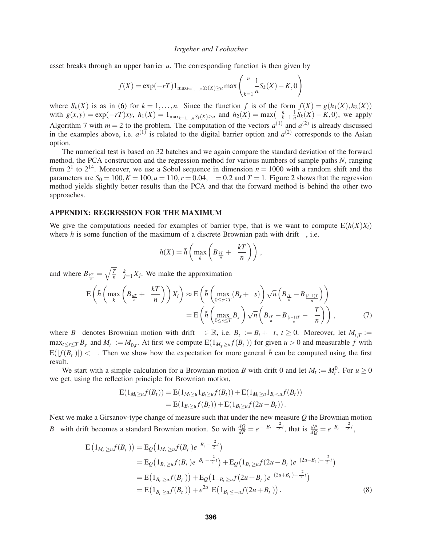asset breaks through an upper barrier *u*. The corresponding function is then given by

$$
f(X) = \exp(-rT) 1_{\max_{k=1,\dots,n} S_k(X) \ge u} \max \left( \sum_{k=1}^n \frac{1}{n} S_k(X) - K, 0 \right)
$$

where  $S_k(X)$  is as in (6) for  $k = 1, ..., n$ . Since the function f is of the form  $f(X) = g(h_1(X), h_2(X))$ with  $g(x, y) = \exp(-rT)xy$ ,  $h_1(X) = 1_{\max_{k=1,\dots,n} S_k(X) \ge u}$  and  $h_2(X) = \max\left(\sum_{k=1}^n \frac{1}{n}\right)$  $\frac{1}{n}S_k(X) - K$ , 0), we apply Algorithm 7 with  $m = 2$  to the problem. The computation of the vectors  $a^{(1)}$  and  $a^{(2)}$  is already discussed in the examples above, i.e.  $a^{(1)}$  is related to the digital barrier option and  $a^{(2)}$  corresponds to the Asian option.

The numerical test is based on 32 batches and we again compare the standard deviation of the forward method, the PCA construction and the regression method for various numbers of sample paths *N*, ranging from  $2^1$  to  $2^{14}$ . Moreover, we use a Sobol sequence in dimension  $n = 1000$  with a random shift and the parameters are  $S_0 = 100, K = 100, u = 110, r = 0.04, \sigma = 0.2$  and  $T = 1$ . Figure 2 shows that the regression method yields slightly better results than the PCA and that the forward method is behind the other two approaches.

## **APPENDIX: REGRESSION FOR THE MAXIMUM**

We give the computations needed for examples of barrier type, that is we want to compute  $E(h(X)X_i)$ where *h* is some function of the maximum of a discrete Brownian path with drift <sup>ν</sup>, i.e.

$$
h(X) = \tilde{h}\left(\max_{k} \left(B_{\frac{kT}{n}} + v\frac{kT}{n}\right)\right),\,
$$

and where  $B_{\frac{kT}{n}} = \sqrt{\frac{T}{n}} \sum_{j=1}^{k} X_j$ . We make the approximation

$$
E\left(\tilde{h}\left(\max_{k}\left(B_{\frac{kT}{n}}+v\frac{kT}{n}\right)\right)X_{i}\right) \approx E\left(\tilde{h}\left(\max_{0\leq s\leq T}\left(B_{s}+vs\right)\right)\sqrt{n}\left(B_{\frac{iT}{n}}-B_{\frac{(i-1)T}{n}}\right)\right)
$$

$$
=E\left(\tilde{h}\left(\max_{0\leq s\leq T}B_{s}^{\vee}\right)\sqrt{n}\left(B_{\frac{NT}{n}}^{\vee}-B_{\frac{(i-1)T}{n}}^{\vee}-v\frac{T}{n}\right)\right),\tag{7}
$$

where  $B^{\nu}$  denotes Brownian motion with drift  $v \in \mathbb{R}$ , i.e.  $B_t^{\nu} := B_t + vt$ ,  $t \ge 0$ . Moreover, let  $M_{t,T}^{\nu} :=$  $\max_{t \leq s \leq T} B_s^v$  and  $M_t^v := M_{0,t}^v$ . At first we compute  $E(1_{M_T^v \geq u} f(B_t^v))$  for given  $u > 0$  and measurable f with  $E(|f(B_t^V)|) < \infty$ . Then we show how the expectation for more general  $\tilde{h}$  can be computed using the first result.

We start with a simple calculation for a Brownian motion *B* with drift 0 and let  $M_t := M_t^0$ . For  $u \ge 0$ we get, using the reflection principle for Brownian motion,

$$
E(1_{M_t \ge u}f(B_t)) = E(1_{M_t \ge u}1_{B_t \ge u}f(B_t)) + E(1_{M_t \ge u}1_{B_t < u}f(B_t))
$$
  
= E(1\_{B\_t \ge u}f(B\_t)) + E(1\_{B\_t \ge u}f(2u - B\_t)).

Next we make a Girsanov-type change of measure such that under the new measure *Q* the Brownian motion *B*<sup>ν</sup> with drift becomes a standard Brownian motion. So with  $\frac{dQ}{dP} = e^{-vB_t - \frac{v^2}{2}}$  $\frac{d^{2}}{dQ^{2}}$ , that is  $\frac{dP}{dQ} = e^{VB_t^y - \frac{v^2}{2}}$  $\frac{\pi}{2}$ <sup>t</sup>,

$$
E\left(1_{M_t^V \ge u}f(B_t^V)\right) = E_Q\left(1_{M_t^V \ge u}f(B_t^V)e^{VB_t^V - \frac{v^2}{2}t}\right)
$$
  
\n
$$
= E_Q\left(1_{B_t^V \ge u}f(B_t^V)e^{VB_t^V - \frac{v^2}{2}t}\right) + E_Q\left(1_{B_t^V \ge u}f(2u - B_t^V)e^{V(2u - B_t^V) - \frac{v^2}{2}t}\right)
$$
  
\n
$$
= E\left(1_{B_t^V \ge u}f(B_t^V)\right) + E_Q\left(1_{-B_t^V \ge u}f(2u + B_t^V)e^{V(2u + B_t^V) - \frac{v^2}{2}t}\right)
$$
  
\n
$$
= E\left(1_{B_t^V \ge u}f(B_t^V)\right) + e^{2uv}E\left(1_{B_t^V \le -u}f(2u + B_t^V)\right).
$$
\n(8)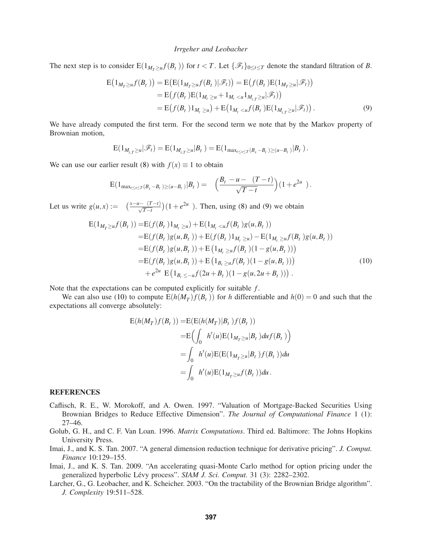The next step is to consider  $E(1_{M_T^v \geq u} f(B_t^v))$  for  $t < T$ . Let  $\{\mathscr{F}_t\}_{0 \leq t \leq T}$  denote the standard filtration of *B*.

$$
E\left(1_{M_{t}^{V}\geq u}f(B_{t}^{V})\right) = E\left(E(1_{M_{t}^{V}\geq u}f(B_{t}^{V})|\mathscr{F}_{t})\right) = E\left(f(B_{t}^{V})E(1_{M_{t}^{V}\geq u}|\mathscr{F}_{t})\right)
$$
  
\n
$$
= E\left(f(B_{t}^{V})E(1_{M_{t}^{V}\geq u} + 1_{M_{t}^{V}< u}1_{M_{t,T}^{V}\geq u}|\mathscr{F}_{t})\right)
$$
  
\n
$$
= E\left(f(B_{t}^{V})1_{M_{t}^{V}\geq u}\right) + E\left(1_{M_{t}^{V}< u}f(B_{t}^{V})E(1_{M_{t,T}^{V}\geq u}|\mathscr{F}_{t})\right).
$$
\n(9)

We have already computed the first term. For the second term we note that by the Markov property of Brownian motion,

$$
E(1_{M_{t,T}^{\nu}\geq u}|\mathscr{F}_t)=E(1_{M_{t,T}^{\nu}\geq u}|B_t^{\nu})=E(1_{\max_{t\leq s\leq T}(B_s^{\nu}-B_t^{\nu})\geq (u-B_t^{\nu})}|B_t^{\nu}).
$$

We can use our earlier result (8) with  $f(x) \equiv 1$  to obtain

$$
E(1_{\max_{t\leq s\leq T}(B_s^v-B_t^v)\geq (u-B_t^v)}|B_t^v) = \Phi\left(\frac{B_t^v-u-v(T-t)}{\sqrt{T-t}}\right)(1+e^{2uv}).
$$

Let us write  $g(u,x) := \Phi\left(\frac{x-u-v(T-t)}{\sqrt{T-t}}\right)$  $(1+e^{2uv})$ . Then, using (8) and (9) we obtain

$$
E(1_{M_T^v \ge u} f(B_t^v)) = E(f(B_t^v)1_{M_t^v \ge u}) + E(1_{M_t^v < u} f(B_t^v)g(u, B_t^v))
$$
\n
$$
= E(f(B_t^v)g(u, B_t^v)) + E(f(B_t^v)1_{M_t^v \ge u}) - E(1_{M_t^v \ge u} f(B_t^v)g(u, B_t^v))
$$
\n
$$
= E(f(B_t^v)g(u, B_t^v)) + E(1_{M_t^v \ge u} f(B_t^v) (1 - g(u, B_t^v)))
$$
\n
$$
= E(f(B_t^v)g(u, B_t^v)) + E(1_{B_t^v \ge u} f(B_t^v) (1 - g(u, B_t^v)))
$$
\n
$$
+ e^{2uv} E(1_{B_t^v \le -u} f(2u + B_t^v) (1 - g(u, 2u + B_t^v))) . \tag{10}
$$

Note that the expectations can be computed explicitly for suitable *f* .

We can also use (10) to compute  $E(h(M_T^{\gamma})f(B_t^{\gamma}))$  for *h* differentiable and  $h(0) = 0$  and such that the expectations all converge absolutely:

$$
E(h(M_T^{\nu})f(B_t^{\nu})) = E(E(h(M_T^{\nu})|B_t^{\nu})f(B_t^{\nu}))
$$
  
\n
$$
= E\Big(\int_0^{\infty} h'(u)E(1_{M_T^{\nu} \ge u}|B_t^{\nu})du f(B_t^{\nu})\Big)
$$
  
\n
$$
= \int_0^{\infty} h'(u)E(E(1_{M_T^{\nu} \ge u}|B_t^{\nu})f(B_t^{\nu}))du
$$
  
\n
$$
= \int_0^{\infty} h'(u)E(1_{M_T^{\nu} \ge u}f(B_t^{\nu}))du.
$$

#### **REFERENCES**

- Caflisch, R. E., W. Morokoff, and A. Owen. 1997. "Valuation of Mortgage-Backed Securities Using Brownian Bridges to Reduce Effective Dimension". *The Journal of Computational Finance* 1 (1): 27–46.
- Golub, G. H., and C. F. Van Loan. 1996. *Matrix Computations*. Third ed. Baltimore: The Johns Hopkins University Press.
- Imai, J., and K. S. Tan. 2007. "A general dimension reduction technique for derivative pricing". *J. Comput. Finance* 10:129–155.
- Imai, J., and K. S. Tan. 2009. "An accelerating quasi-Monte Carlo method for option pricing under the generalized hyperbolic Lévy process". SIAM J. Sci. Comput. 31 (3): 2282–2302.
- Larcher, G., G. Leobacher, and K. Scheicher. 2003. "On the tractability of the Brownian Bridge algorithm". *J. Complexity* 19:511–528.